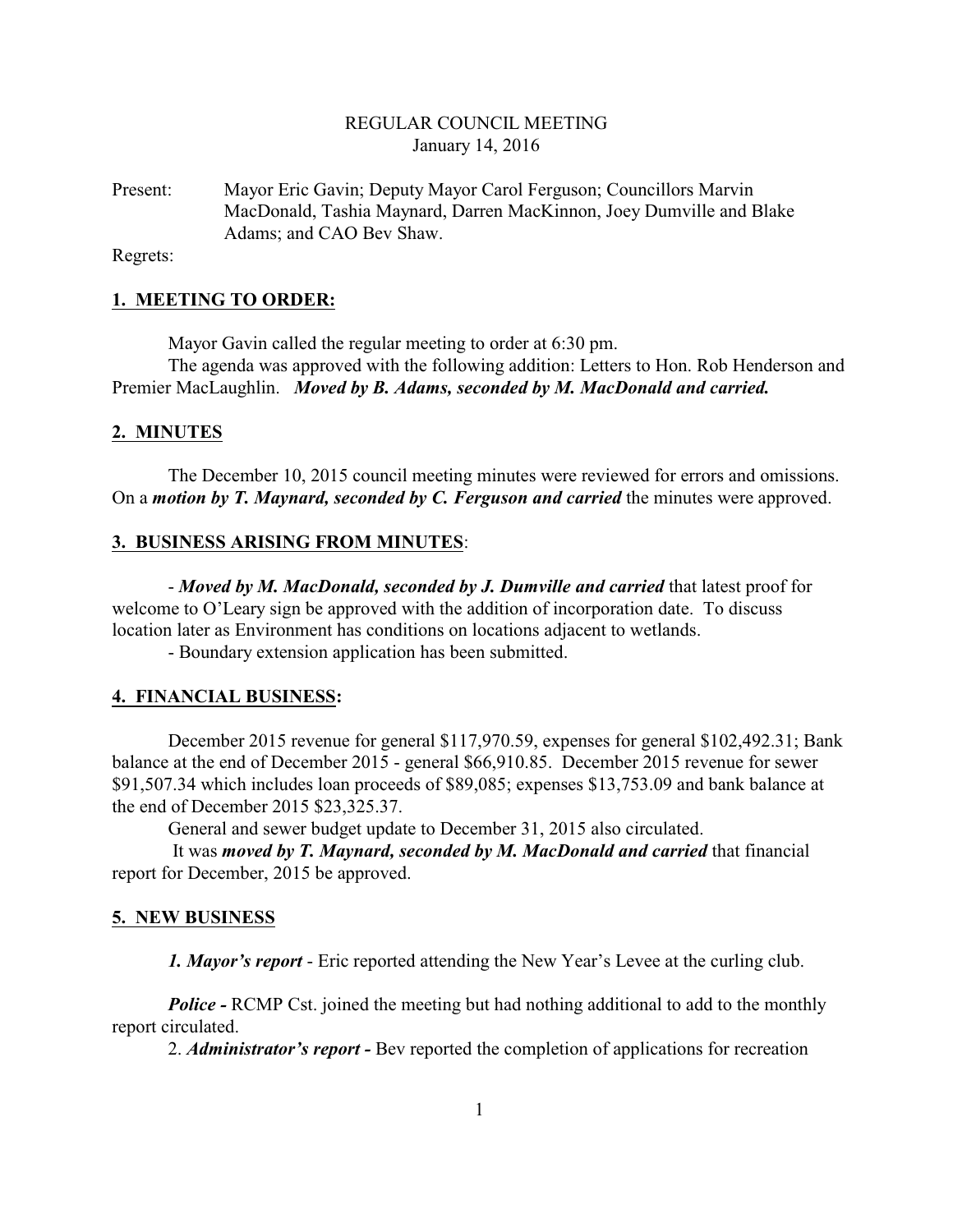# REGULAR COUNCIL MEETING January 14, 2016

Present: Mayor Eric Gavin; Deputy Mayor Carol Ferguson; Councillors Marvin MacDonald, Tashia Maynard, Darren MacKinnon, Joey Dumville and Blake Adams; and CAO Bev Shaw.

Regrets:

## **1. MEETING TO ORDER:**

Mayor Gavin called the regular meeting to order at 6:30 pm.

The agenda was approved with the following addition: Letters to Hon. Rob Henderson and Premier MacLaughlin. *Moved by B. Adams, seconded by M. MacDonald and carried.*

#### **2. MINUTES**

The December 10, 2015 council meeting minutes were reviewed for errors and omissions. On a *motion by T. Maynard, seconded by C. Ferguson and carried* the minutes were approved.

#### **3. BUSINESS ARISING FROM MINUTES**:

- *Moved by M. MacDonald, seconded by J. Dumville and carried* that latest proof for welcome to O'Leary sign be approved with the addition of incorporation date. To discuss location later as Environment has conditions on locations adjacent to wetlands.

- Boundary extension application has been submitted.

#### **4. FINANCIAL BUSINESS:**

December 2015 revenue for general \$117,970.59, expenses for general \$102,492.31; Bank balance at the end of December 2015 - general \$66,910.85. December 2015 revenue for sewer \$91,507.34 which includes loan proceeds of \$89,085; expenses \$13,753.09 and bank balance at the end of December 2015 \$23,325.37.

General and sewer budget update to December 31, 2015 also circulated.

 It was *moved by T. Maynard, seconded by M. MacDonald and carried* that financial report for December, 2015 be approved.

#### **5. NEW BUSINESS**

*1. Mayor's report* - Eric reported attending the New Year's Levee at the curling club.

*Police -* RCMP Cst. joined the meeting but had nothing additional to add to the monthly report circulated.

2. *Administrator's report -* Bev reported the completion of applications for recreation